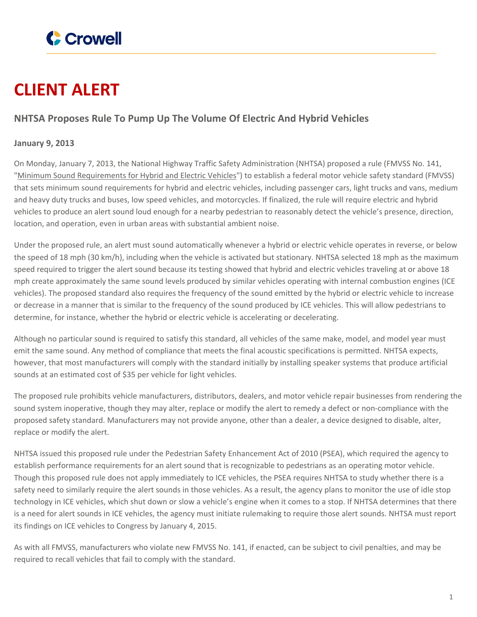

## **CLIENT ALERT**

## **NHTSA Proposes Rule To Pump Up The Volume Of Electric And Hybrid Vehicles**

## **January 9, 2013**

On Monday, January 7, 2013, the National Highway Traffic Safety Administration (NHTSA) proposed a rule (FMVSS No. 141, "Minimum Sound [Requirements](http://www.nhtsa.gov/staticfiles/rulemaking/pdf/Quiet_Vehicles_NPRM.pdf) for Hybrid and Electric Vehicles") to establish a federal motor vehicle safety standard (FMVSS) that sets minimum sound requirements for hybrid and electric vehicles, including passenger cars, light trucks and vans, medium and heavy duty trucks and buses, low speed vehicles, and motorcycles. If finalized, the rule will require electric and hybrid vehicles to produce an alert sound loud enough for a nearby pedestrian to reasonably detect the vehicle's presence, direction, location, and operation, even in urban areas with substantial ambient noise.

Under the proposed rule, an alert must sound automatically whenever a hybrid or electric vehicle operates in reverse, or below the speed of 18 mph (30 km/h), including when the vehicle is activated but stationary. NHTSA selected 18 mph as the maximum speed required to trigger the alert sound because its testing showed that hybrid and electric vehicles traveling at or above 18 mph create approximately the same sound levels produced by similar vehicles operating with internal combustion engines (ICE vehicles). The proposed standard also requires the frequency of the sound emitted by the hybrid or electric vehicle to increase or decrease in a manner that is similar to the frequency of the sound produced by ICE vehicles. This will allow pedestrians to determine, for instance, whether the hybrid or electric vehicle is accelerating or decelerating.

Although no particular sound is required to satisfy this standard, all vehicles of the same make, model, and model year must emit the same sound. Any method of compliance that meets the final acoustic specifications is permitted. NHTSA expects, however, that most manufacturers will comply with the standard initially by installing speaker systems that produce artificial sounds at an estimated cost of \$35 per vehicle for light vehicles.

The proposed rule prohibits vehicle manufacturers, distributors, dealers, and motor vehicle repair businesses from rendering the sound system inoperative, though they may alter, replace or modify the alert to remedy a defect or non-compliance with the proposed safety standard. Manufacturers may not provide anyone, other than a dealer, a device designed to disable, alter, replace or modify the alert.

NHTSA issued this proposed rule under the Pedestrian Safety Enhancement Act of 2010 (PSEA), which required the agency to establish performance requirements for an alert sound that is recognizable to pedestrians as an operating motor vehicle. Though this proposed rule does not apply immediately to ICE vehicles, the PSEA requires NHTSA to study whether there is a safety need to similarly require the alert sounds in those vehicles. As a result, the agency plans to monitor the use of idle stop technology in ICE vehicles, which shut down or slow a vehicle's engine when it comes to a stop. If NHTSA determines that there is a need for alert sounds in ICE vehicles, the agency must initiate rulemaking to require those alert sounds. NHTSA must report its findings on ICE vehicles to Congress by January 4, 2015.

As with all FMVSS, manufacturers who violate new FMVSS No. 141, if enacted, can be subject to civil penalties, and may be required to recall vehicles that fail to comply with the standard.